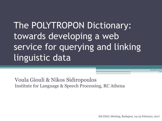The POLYTROPON Dictionary: towards developing a web service for querying and linking linguistic data

Voula Giouli & Nikos Sidiropoulos Institute for Language & Speech Processing, RC Athena

6th ENeL Meeting, Budapest, 24-25 February, 2017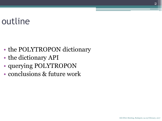## outline

- the POLYTROPON dictionary
- the dictionary API
- querying POLYTROPON
- conclusions & future work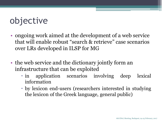# objective

- ongoing work aimed at the development of a web service that will enable robust "search & retrieve" case scenarios over LRs developed in ILSP for MG
- the web service and the dictionary jointly form an infrastructure that can be exploited
	- in application scenarios involving deep lexical information
	- by lexicon end-users (researchers interested in studying the lexicon of the Greek language, general public)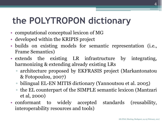# **the POLYTROPON dictionary**

- computational conceptual lexicon of MG
- developed within the KRIPIS project
- builds on existing models for semantic representation (i.e., Frame Semantics)
- extends the existing LR infrastructure by integrating, harmonizing & extending already existing LRs
	- architecture proposed by EKFRASIS project (Markantonatou & Fotopoulou, 2007)
	- bilingual EL-EN MITIS dictionary (Yannoutsou et al. 2005)
	- the EL counterpart of the SIMPLE semantic lexicon (Mantzari et al, 2000)
- conformant to widely accepted standards (reusability, interoperability resources and tools)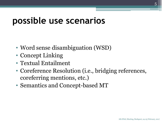## **possible use scenarios**

- Word sense disambiguation (WSD)
- Concept Linking
- Textual Entailment
- Coreference Resolution (*i.e.*, bridging references, coreferring mentions, etc.)
- Semantics and Concept-based MT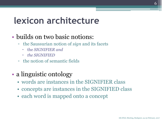## **lexicon architecture**

## • builds on two basic notions:

- the Saussurian notion of *sign* and its facets
	- the *SIGNIFIER and*
	- *the SIGNIFIED*
- the notion of semantic fields
- a linguistic ontology
	- words are instances in the SIGNIFIER class
	- concepts are instances in the SIGNIFIED class
	- each word is mapped onto a concept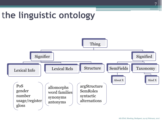

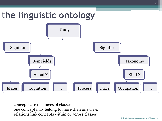

concepts are instances of classes one concept may belong to more than one class relations link concepts within or across classes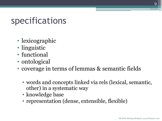## specifications

- lexicographic
- linguistic
- functional
- ontological
- coverage in terms of lemmas & semantic fields
	- words and concepts linked via rels (lexical, semantic, other) in a systematic way
	- knowledge base
	- representation (dense, extensible, flexible)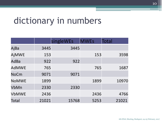## dictionary in numbers

|              |       | singleWEs | <b>MWEs</b> | Total |
|--------------|-------|-----------|-------------|-------|
| AjBa         | 3445  | 3445      |             |       |
| AjMWE        | 153   |           | 153         | 3598  |
| AdBa         | 922   | 922       |             |       |
| <b>AdMWE</b> | 765   |           | 765         | 1687  |
| <b>NoCm</b>  | 9071  | 9071      |             |       |
| <b>NoMWE</b> | 1899  |           | 1899        | 10970 |
| VbMn         | 2330  | 2330      |             |       |
| <b>VbMWE</b> | 2436  |           | 2436        | 4766  |
| Total        | 21021 | 15768     | 5253        | 21021 |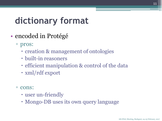# **dictionary format**

- encoded in Protégé
	- pros:
		- creation & management of ontologies
		- built-in reasoners
		- efficient manipulation & control of the data
		- xml/rdf export
	- cons:
		- user un-friendly
		- Mongo-DB uses its own query language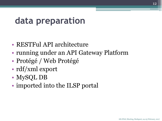## **data preparation**

- RESTFul API architecture
- running under an API Gateway Platform
- Protégé / Web Protégé
- rdf/xml export
- MySQL DB
- imported into the ILSP portal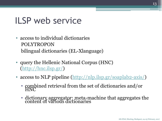## ILSP web service

- access to individual dictionaries POLYTROPON bilingual dictionaries (EL-Xlanguage)
- query the Hellenic National Corpus (HNC) [\(http://hnc.ilsp.gr/](http://hnc.ilsp.gr/))
- access to NLP pipeline ([http://nlp.ilsp.gr/soaplab2-axis/\)](http://nlp.ilsp.gr/soaplab2-axis/)
	- combined retrieval from the set of dictionaries and/or HNC
	- dictionary aggregator: meta-machine that aggregates the content of various dictionaries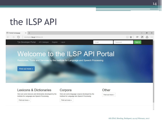## the ILSP API

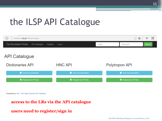# the ILSP API Catalogue



Powered by Tyk - The Open Source API Gateway

#### **access to the LRs via the API catalogue**

### **users need to register/sign in**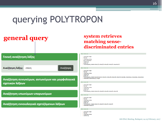## **general query system retrieves**

## **matching sensediscriminated entries**

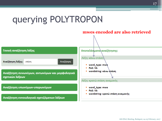#### **mwes encoded are also retrieved**Γενική αναζήτηση λέξης Αποτελέσματα αναζήτησης: Λέξη: κάνω στάση Αναζήτηση λέξης: στάση Αναζήτηση ■ word\_type: mwe PoS: Vb ■ wordstring: κάνω ατάση Αναζήτηση συνωνύμων, αντωνύμων και μορφολογικά σχετικών λέξεων Λέξη: κρατώ στάση αναμονής Αναζήτηση υπωνύμων-υπερωνύμων " word\_type: mwe PoS: Vb wordstring: κρατώ στάση αναμονής Αναζήτηση εννοιολογικά σχετιζόμενων λέξεων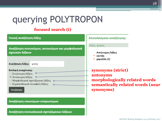### **focused search (i)**



#### Αποτελέσματα αναζήτησης:

#### Λέξη: ψηλός

- Αντώνυμες λέξεις
- **κοντός**
- χαμηλός (1)

**synonyms (strict) antonyms morphologically related words semantically related words (near synonyms)**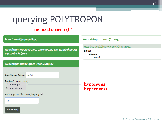## **focused search (ii)**

| Γενική αναζήτηση λέξης                                                                                                                                                     | Αποτελέσματα αναζήτησης:                                         |  |  |
|----------------------------------------------------------------------------------------------------------------------------------------------------------------------------|------------------------------------------------------------------|--|--|
| Αναζήτηση συνωνύμων, αντωνύμων και μορφολογικά<br>σχετικών λέξεων                                                                                                          | Υπερώνυμες λέξεις για την λέξη: μηλιά<br>μηλιά<br>δέντρο<br>φυτό |  |  |
| Αναζήτηση υπωνύμων-υπερωνύμων                                                                                                                                              |                                                                  |  |  |
| Αναζήτηση λέξης: μηλιά<br>Επιλονή συσγέτισης:<br>Υπώνυμα<br>$\circ$<br><sup>®</sup> Υπερώνυμα<br>Επιλογή επιπέδου αναζήτησης: <u>©</u><br>$\overline{2}$<br>▼<br>Αναζήτηση | hyponyms<br>hypernyms                                            |  |  |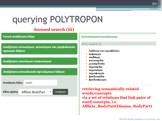### **focused search (iii)**

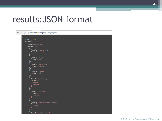## results:JSON format

```
C \Box www.xanthi.ilsp.gr/apis/polytropon/
\leftarrow \rightarrow"error": false,
         "message": [
             "wordtxt": "άκοπα",
             "params": [
                 "name": "word_type",
                 "value": "single"
               Ъ.
                 "name": "PoS",
                 "value": "Ad"
                 "name": "wordstring",
                 "value": "άκοπα"
                 "name": "degree",
                 "value": "Ba"
                 "name": "synonyms",
                 "value": [
                    "εύκολα"
                 "name": "antonyms",
                 "value": [
                    "δύσκολα"
                 "name": "morphologicaly_related",
                 "value": [
                    "κόπος"
                 "name": "instantiates",
```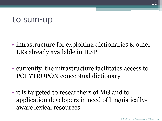## to sum-up

- infrastructure for exploiting dictionaries & other LRs already available in ILSP
- currently, the infrastructure facilitates access to POLYTROPON conceptual dictionary
- it is targeted to researchers of MG and to application developers in need of linguisticallyaware lexical resources.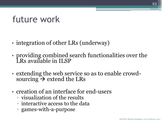## future work

- integration of other LRs (underway)
- providing combined search functionalities over the LRs available in ILSP
- extending the web service so as to enable crowdsourcing  $\rightarrow$  extend the LRs
- creation of an interface for end-users
	- visualization of the results
	- interactive access to the data
	- games-with-a-purpose